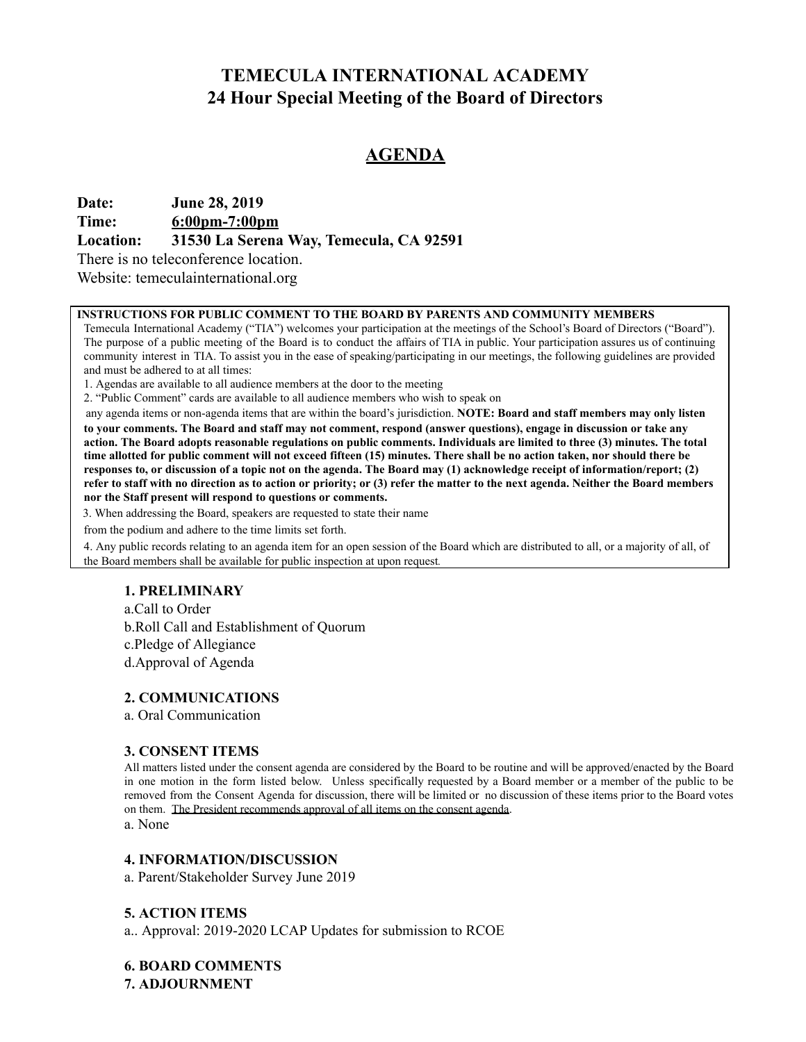## **TEMECULA INTERNATIONAL ACADEMY 24 Hour Special Meeting of the Board of Directors**

## **AGENDA**

**Date: June 28, 2019**

**Time: 6:00pm-7:00pm**

**Location: 31530 La Serena Way, Temecula, CA 92591**

There is no teleconference location.

Website: temeculainternational.org

#### **INSTRUCTIONS FOR PUBLIC COMMENT TO THE BOARD BY PARENTS AND COMMUNITY MEMBERS**

Temecula International Academy ("TIA") welcomes your participation at the meetings of the School's Board of Directors ("Board"). The purpose of a public meeting of the Board is to conduct the affairs of TIA in public. Your participation assures us of continuing community interest in TIA. To assist you in the ease of speaking/participating in our meetings, the following guidelines are provided and must be adhered to at all times:

1. Agendas are available to all audience members at the door to the meeting

2. "Public Comment" cards are available to all audience members who wish to speak on

 any agenda items or non-agenda items that are within the board's jurisdiction. **NOTE: Board and staff members may only listen to your comments. The Board and staff may not comment, respond (answer questions), engage in discussion or take any action. The Board adopts reasonable regulations on public comments. Individuals are limited to three (3) minutes. The total time allotted for public comment will not exceed fifteen (15) minutes. There shall be no action taken, nor should there be responses to, or discussion of a topic not on the agenda. The Board may (1) acknowledge receipt of information/report; (2) refer to staff with no direction as to action or priority; or (3) refer the matter to the next agenda. Neither the Board members nor the Staff present will respond to questions or comments.**

3. When addressing the Board, speakers are requested to state their name

from the podium and adhere to the time limits set forth.

4. Any public records relating to an agenda item for an open session of the Board which are distributed to all, or a majority of all, of the Board members shall be available for public inspection at upon request.

#### **1. PRELIMINARY**

a.Call to Order b.Roll Call and Establishment of Quorum c.Pledge of Allegiance d.Approval of Agenda

#### **2. COMMUNICATIONS**

a. Oral Communication

#### **3. CONSENT ITEMS**

All matters listed under the consent agenda are considered by the Board to be routine and will be approved/enacted by the Board in one motion in the form listed below. Unless specifically requested by a Board member or a member of the public to be removed from the Consent Agenda for discussion, there will be limited or no discussion of these items prior to the Board votes on them. The President recommends approval of all items on the consent agenda .

a. None

#### **4. INFORMATION/DISCUSSION**

a. Parent/Stakeholder Survey June 2019

#### **5. ACTION ITEMS**

a.. Approval: 2019-2020 LCAP Updates for submission to RCOE

**6. BOARD COMMENTS 7. ADJOURNMENT**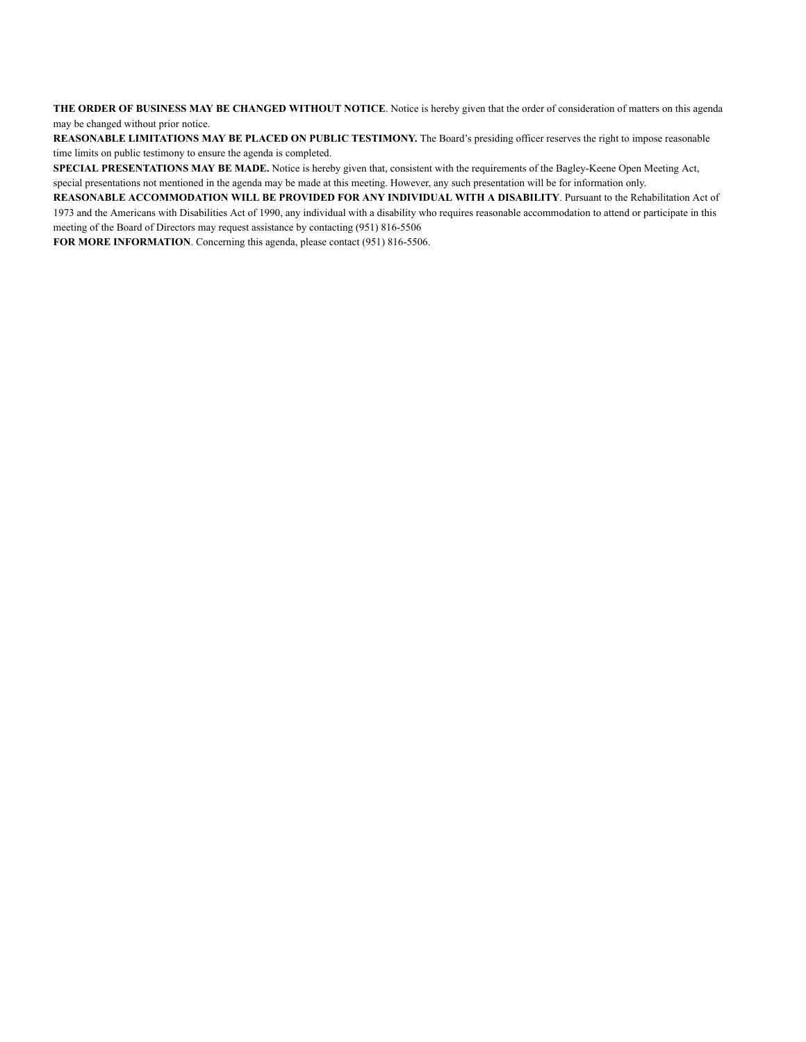**THE ORDER OF BUSINESS MAY BE CHANGED WITHOUT NOTICE**. Notice is hereby given that the order of consideration of matters on this agenda may be changed without prior notice.

**REASONABLE LIMITATIONS MAY BE PLACED ON PUBLIC TESTIMONY.** The Board's presiding officer reserves the right to impose reasonable time limits on public testimony to ensure the agenda is completed.

**SPECIAL PRESENTATIONS MAY BE MADE.** Notice is hereby given that, consistent with the requirements of the Bagley-Keene Open Meeting Act, special presentations not mentioned in the agenda may be made at this meeting. However, any such presentation will be for information only.

**REASONABLE ACCOMMODATION WILL BE PROVIDED FOR ANY INDIVIDUAL WITH A DISABILITY**. Pursuant to the Rehabilitation Act of 1973 and the Americans with Disabilities Act of 1990, any individual with a disability who requires reasonable accommodation to attend or participate in this meeting of the Board of Directors may request assistance by contacting (951) 816-5506

**FOR MORE INFORMATION**. Concerning this agenda, please contact (951) 816-5506.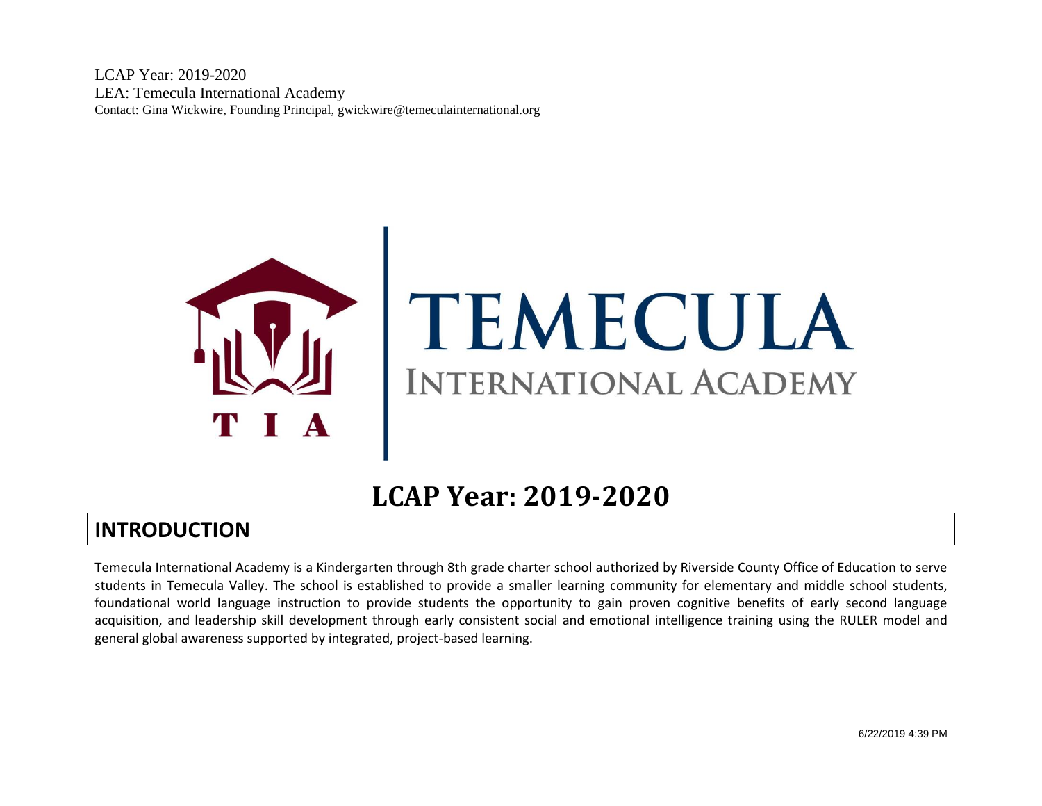

# TEMECULA **INTERNATIONAL ACADEMY**

# **LCAP Year: 2019-2020**

# **INTRODUCTION**

Temecula International Academy is a Kindergarten through 8th grade charter school authorized by Riverside County Office of Education to serve students in Temecula Valley. The school is established to provide a smaller learning community for elementary and middle school students, foundational world language instruction to provide students the opportunity to gain proven cognitive benefits of early second language acquisition, and leadership skill development through early consistent social and emotional intelligence training using the RULER model and general global awareness supported by integrated, project-based learning.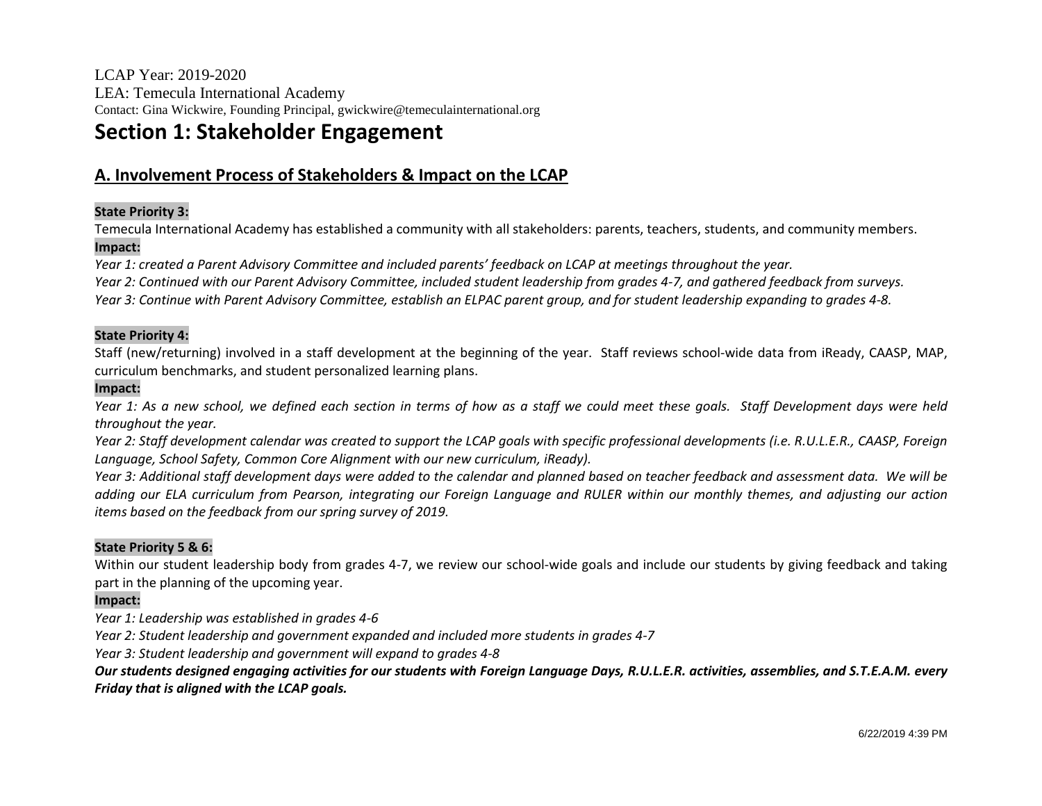# **Section 1: Stakeholder Engagement**

## **A. Involvement Process of Stakeholders & Impact on the LCAP**

#### **State Priority 3:**

Temecula International Academy has established a community with all stakeholders: parents, teachers, students, and community members. **Impact:**

*Year 1: created a Parent Advisory Committee and included parents' feedback on LCAP at meetings throughout the year. Year 2: Continued with our Parent Advisory Committee, included student leadership from grades 4-7, and gathered feedback from surveys. Year 3: Continue with Parent Advisory Committee, establish an ELPAC parent group, and for student leadership expanding to grades 4-8.*

#### **State Priority 4:**

Staff (new/returning) involved in a staff development at the beginning of the year. Staff reviews school-wide data from iReady, CAASP, MAP, curriculum benchmarks, and student personalized learning plans.

#### **Impact:**

*Year 1: As a new school, we defined each section in terms of how as a staff we could meet these goals. Staff Development days were held throughout the year.* 

*Year 2: Staff development calendar was created to support the LCAP goals with specific professional developments (i.e. R.U.L.E.R., CAASP, Foreign Language, School Safety, Common Core Alignment with our new curriculum, iReady).*

*Year 3: Additional staff development days were added to the calendar and planned based on teacher feedback and assessment data. We will be adding our ELA curriculum from Pearson, integrating our Foreign Language and RULER within our monthly themes, and adjusting our action items based on the feedback from our spring survey of 2019.*

#### **State Priority 5 & 6:**

Within our student leadership body from grades 4-7, we review our school-wide goals and include our students by giving feedback and taking part in the planning of the upcoming year.

#### **Impact:**

*Year 1: Leadership was established in grades 4-6*

*Year 2: Student leadership and government expanded and included more students in grades 4-7*

*Year 3: Student leadership and government will expand to grades 4-8*

*Our students designed engaging activities for our students with Foreign Language Days, R.U.L.E.R. activities, assemblies, and S.T.E.A.M. every Friday that is aligned with the LCAP goals.*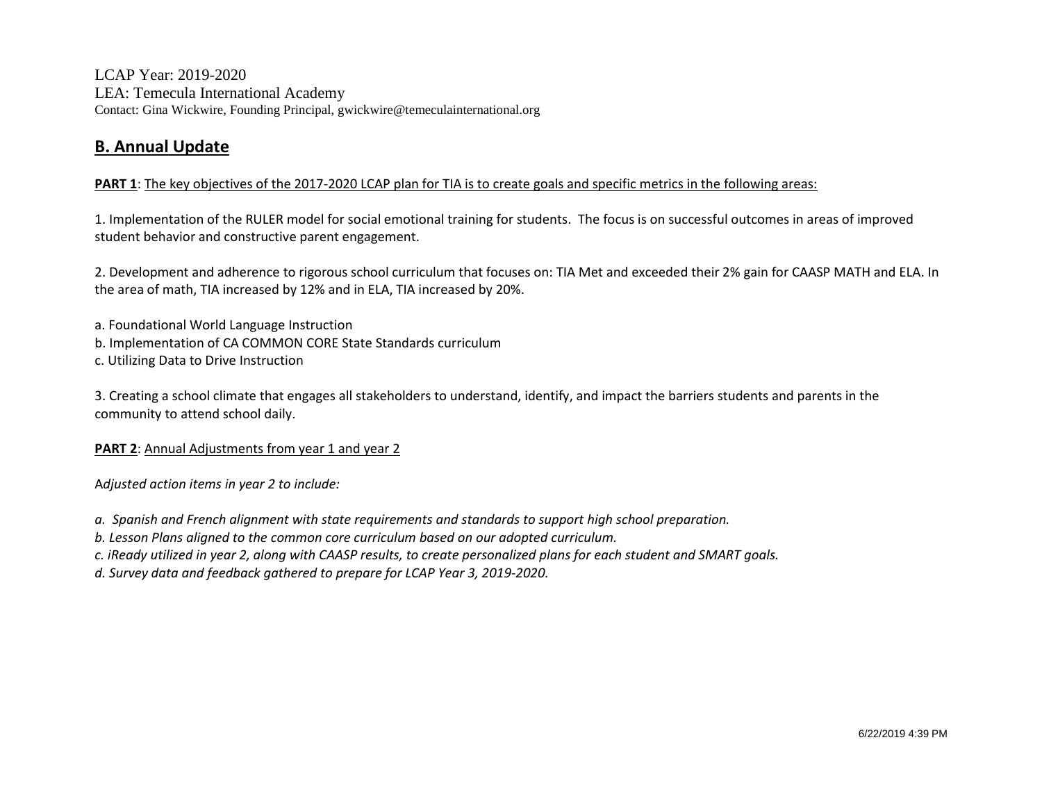## **B. Annual Update**

#### **PART 1**: The key objectives of the 2017-2020 LCAP plan for TIA is to create goals and specific metrics in the following areas:

1. Implementation of the RULER model for social emotional training for students. The focus is on successful outcomes in areas of improved student behavior and constructive parent engagement.

2. Development and adherence to rigorous school curriculum that focuses on: TIA Met and exceeded their 2% gain for CAASP MATH and ELA. In the area of math, TIA increased by 12% and in ELA, TIA increased by 20%.

a. Foundational World Language Instruction

- b. Implementation of CA COMMON CORE State Standards curriculum
- c. Utilizing Data to Drive Instruction

3. Creating a school climate that engages all stakeholders to understand, identify, and impact the barriers students and parents in the community to attend school daily.

**PART 2:** Annual Adjustments from year 1 and year 2

A*djusted action items in year 2 to include:*

*a. Spanish and French alignment with state requirements and standards to support high school preparation.*

*b. Lesson Plans aligned to the common core curriculum based on our adopted curriculum.*

*c. iReady utilized in year 2, along with CAASP results, to create personalized plans for each student and SMART goals.*

*d. Survey data and feedback gathered to prepare for LCAP Year 3, 2019-2020.*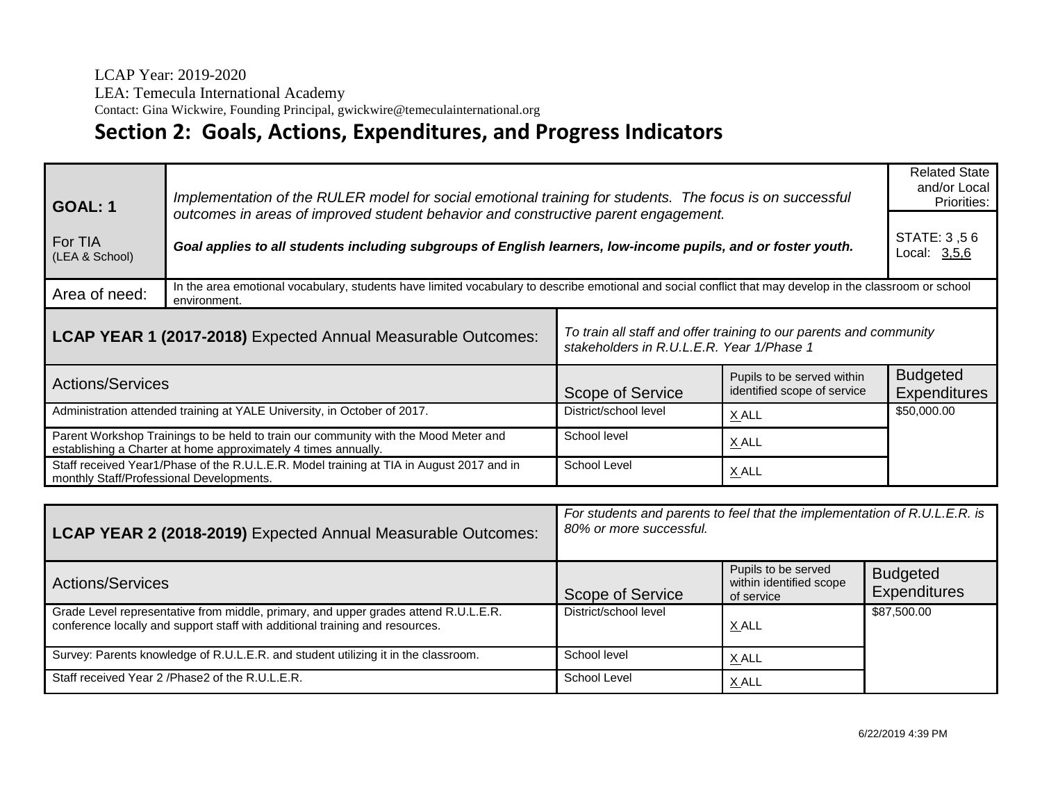LEA: Temecula International Academy

Contact: Gina Wickwire, Founding Principal, gwickwire@temeculainternational.org

# **Section 2: Goals, Actions, Expenditures, and Progress Indicators**

| Implementation of the RULER model for social emotional training for students. The focus is on successful<br><b>GOAL: 1</b><br>outcomes in areas of improved student behavior and constructive parent engagement.<br>For TIA<br>Goal applies to all students including subgroups of English learners, low-income pupils, and or foster youth.<br>(LEA & School) |                                                                                          |                       | <b>Related State</b><br>and/or Local<br>Priorities:<br>STATE: 3,56<br>Local: 3,5,6 |                                        |
|----------------------------------------------------------------------------------------------------------------------------------------------------------------------------------------------------------------------------------------------------------------------------------------------------------------------------------------------------------------|------------------------------------------------------------------------------------------|-----------------------|------------------------------------------------------------------------------------|----------------------------------------|
| In the area emotional vocabulary, students have limited vocabulary to describe emotional and social conflict that may develop in the classroom or school<br>Area of need:<br>environment.                                                                                                                                                                      |                                                                                          |                       |                                                                                    |                                        |
| To train all staff and offer training to our parents and community<br>LCAP YEAR 1 (2017-2018) Expected Annual Measurable Outcomes:<br>stakeholders in R.U.L.E.R. Year 1/Phase 1                                                                                                                                                                                |                                                                                          |                       |                                                                                    |                                        |
| <b>Actions/Services</b>                                                                                                                                                                                                                                                                                                                                        |                                                                                          | Scope of Service      | Pupils to be served within<br>identified scope of service                          | <b>Budgeted</b><br><b>Expenditures</b> |
| Administration attended training at YALE University, in October of 2017.                                                                                                                                                                                                                                                                                       |                                                                                          | District/school level | X ALL                                                                              | \$50,000.00                            |
| Parent Workshop Trainings to be held to train our community with the Mood Meter and<br>establishing a Charter at home approximately 4 times annually.                                                                                                                                                                                                          |                                                                                          | School level          | X ALL                                                                              |                                        |
| monthly Staff/Professional Developments.                                                                                                                                                                                                                                                                                                                       | Staff received Year1/Phase of the R.U.L.E.R. Model training at TIA in August 2017 and in | School Level          | X ALL                                                                              |                                        |
|                                                                                                                                                                                                                                                                                                                                                                | For students and parents to feel that the implementation of R.U.L.E.R. is $\blacksquare$ |                       |                                                                                    |                                        |

| LCAP YEAR 2 (2018-2019) Expected Annual Measurable Outcomes:                                                                                                        | For students and parents to feel that the implementation of R.U.L.E.R. is<br>80% or more successful. |                                                              |                                        |
|---------------------------------------------------------------------------------------------------------------------------------------------------------------------|------------------------------------------------------------------------------------------------------|--------------------------------------------------------------|----------------------------------------|
| <b>Actions/Services</b>                                                                                                                                             | Scope of Service                                                                                     | Pupils to be served<br>within identified scope<br>of service | <b>Budgeted</b><br><b>Expenditures</b> |
| Grade Level representative from middle, primary, and upper grades attend R.U.L.E.R.<br>conference locally and support staff with additional training and resources. | District/school level                                                                                | X ALL                                                        | \$87,500.00                            |
| Survey: Parents knowledge of R.U.L.E.R. and student utilizing it in the classroom.                                                                                  | School level                                                                                         | X ALL                                                        |                                        |
| Staff received Year 2 / Phase 2 of the R.U.L.E.R.                                                                                                                   | School Level                                                                                         | X ALL                                                        |                                        |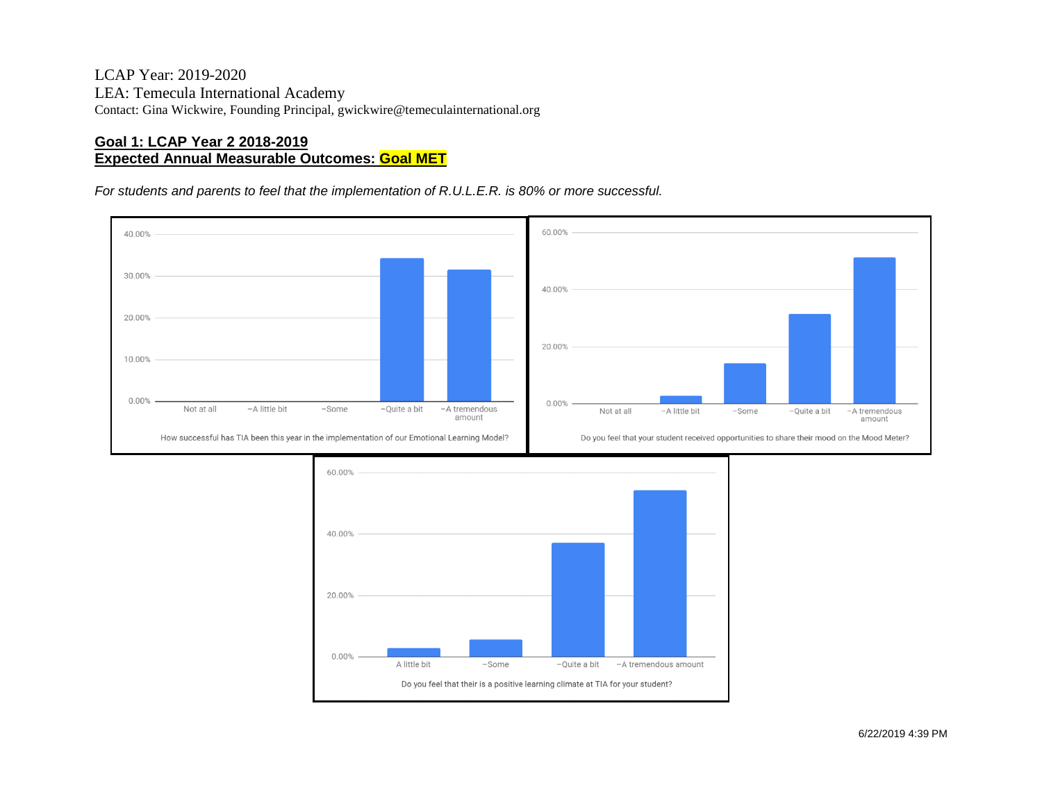#### **Goal 1: LCAP Year 2 2018-2019 Expected Annual Measurable Outcomes: Goal MET**

*For students and parents to feel that the implementation of R.U.L.E.R. is 80% or more successful.*



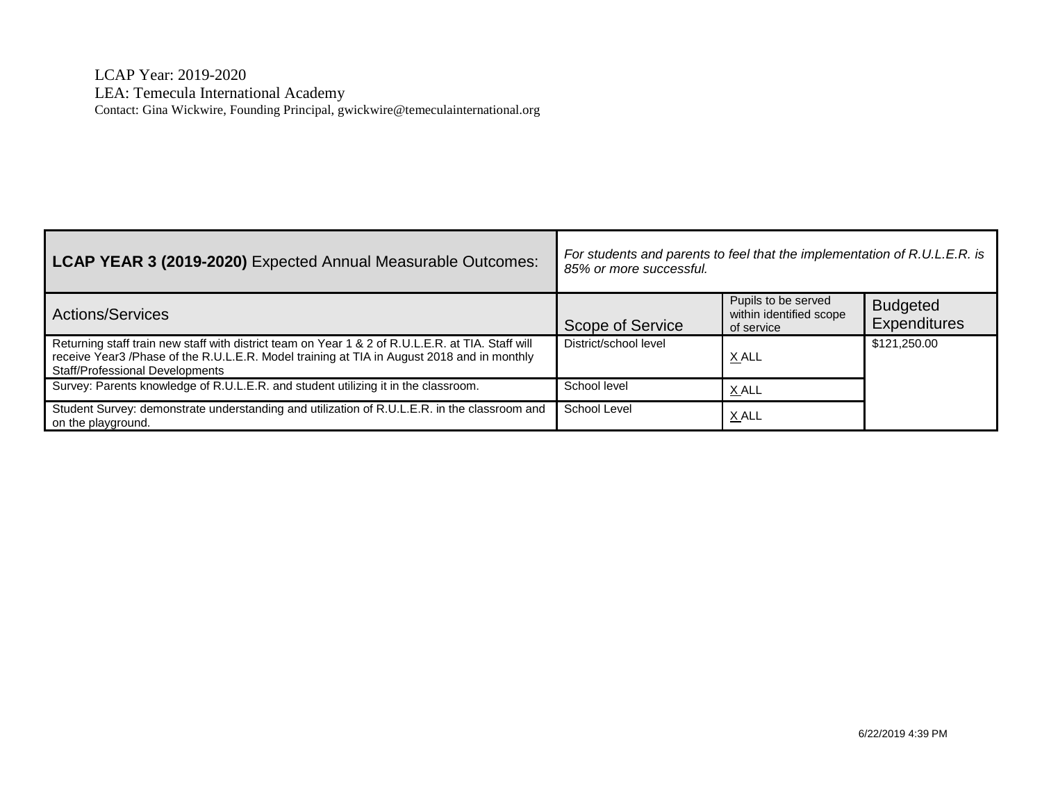| LCAP YEAR 3 (2019-2020) Expected Annual Measurable Outcomes:                                                                                                                                                                       | For students and parents to feel that the implementation of R.U.L.E.R. is<br>85% or more successful. |                                                              |                                 |
|------------------------------------------------------------------------------------------------------------------------------------------------------------------------------------------------------------------------------------|------------------------------------------------------------------------------------------------------|--------------------------------------------------------------|---------------------------------|
| <b>Actions/Services</b>                                                                                                                                                                                                            | Scope of Service                                                                                     | Pupils to be served<br>within identified scope<br>of service | <b>Budgeted</b><br>Expenditures |
| Returning staff train new staff with district team on Year 1 & 2 of R.U.L.E.R. at TIA. Staff will<br>receive Year3 /Phase of the R.U.L.E.R. Model training at TIA in August 2018 and in monthly<br>Staff/Professional Developments | District/school level                                                                                | X ALL                                                        | \$121,250.00                    |
| Survey: Parents knowledge of R.U.L.E.R. and student utilizing it in the classroom.                                                                                                                                                 | School level                                                                                         | X ALL                                                        |                                 |
| Student Survey: demonstrate understanding and utilization of R.U.L.E.R. in the classroom and<br>on the playground.                                                                                                                 | School Level                                                                                         | X ALL                                                        |                                 |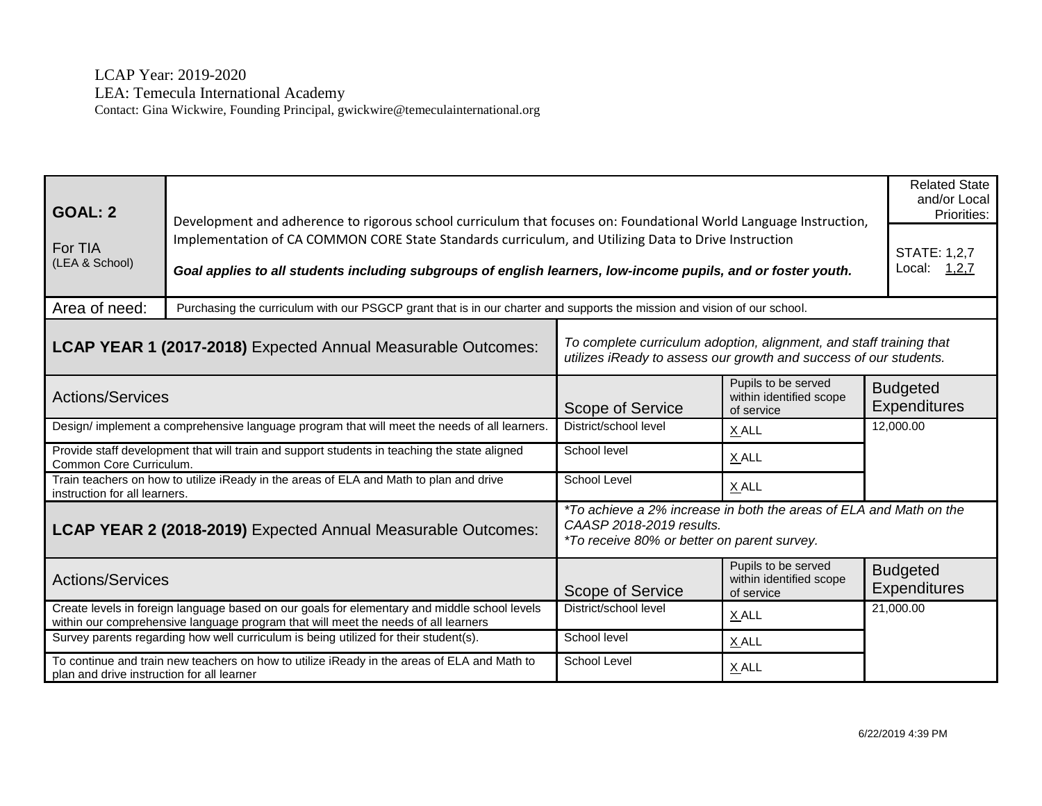| <b>GOAL: 2</b><br>For TIA<br>(LEA & School)                                                                                               | Development and adherence to rigorous school curriculum that focuses on: Foundational World Language Instruction,<br>Implementation of CA COMMON CORE State Standards curriculum, and Utilizing Data to Drive Instruction<br>Goal applies to all students including subgroups of english learners, low-income pupils, and or foster youth. |                                                                                                                                               |                                                              | <b>Related State</b><br>and/or Local<br>Priorities:<br><b>STATE: 1,2,7</b><br>Local:<br>1,2,7 |
|-------------------------------------------------------------------------------------------------------------------------------------------|--------------------------------------------------------------------------------------------------------------------------------------------------------------------------------------------------------------------------------------------------------------------------------------------------------------------------------------------|-----------------------------------------------------------------------------------------------------------------------------------------------|--------------------------------------------------------------|-----------------------------------------------------------------------------------------------|
| Area of need:                                                                                                                             | Purchasing the curriculum with our PSGCP grant that is in our charter and supports the mission and vision of our school.                                                                                                                                                                                                                   |                                                                                                                                               |                                                              |                                                                                               |
| LCAP YEAR 1 (2017-2018) Expected Annual Measurable Outcomes:                                                                              |                                                                                                                                                                                                                                                                                                                                            | To complete curriculum adoption, alignment, and staff training that<br>utilizes iReady to assess our growth and success of our students.      |                                                              |                                                                                               |
| <b>Actions/Services</b>                                                                                                                   |                                                                                                                                                                                                                                                                                                                                            | Scope of Service                                                                                                                              | Pupils to be served<br>within identified scope<br>of service | <b>Budgeted</b><br><b>Expenditures</b>                                                        |
|                                                                                                                                           | Design/ implement a comprehensive language program that will meet the needs of all learners.                                                                                                                                                                                                                                               | District/school level                                                                                                                         | X ALL                                                        | 12,000.00                                                                                     |
| Provide staff development that will train and support students in teaching the state aligned<br>Common Core Curriculum.                   |                                                                                                                                                                                                                                                                                                                                            | School level                                                                                                                                  | X ALL                                                        |                                                                                               |
| instruction for all learners.                                                                                                             | Train teachers on how to utilize iReady in the areas of ELA and Math to plan and drive                                                                                                                                                                                                                                                     | School Level                                                                                                                                  | X ALL                                                        |                                                                                               |
| LCAP YEAR 2 (2018-2019) Expected Annual Measurable Outcomes:                                                                              |                                                                                                                                                                                                                                                                                                                                            | *To achieve a 2% increase in both the areas of ELA and Math on the<br>CAASP 2018-2019 results.<br>*To receive 80% or better on parent survey. |                                                              |                                                                                               |
| <b>Actions/Services</b>                                                                                                                   |                                                                                                                                                                                                                                                                                                                                            | Scope of Service                                                                                                                              | Pupils to be served<br>within identified scope<br>of service | <b>Budgeted</b><br><b>Expenditures</b>                                                        |
|                                                                                                                                           | Create levels in foreign language based on our goals for elementary and middle school levels<br>within our comprehensive language program that will meet the needs of all learners                                                                                                                                                         | District/school level                                                                                                                         | X ALL                                                        | 21,000.00                                                                                     |
|                                                                                                                                           | Survey parents regarding how well curriculum is being utilized for their student(s).                                                                                                                                                                                                                                                       | School level                                                                                                                                  | $X$ ALL                                                      |                                                                                               |
| To continue and train new teachers on how to utilize iReady in the areas of ELA and Math to<br>plan and drive instruction for all learner |                                                                                                                                                                                                                                                                                                                                            | School Level                                                                                                                                  | $X$ ALL                                                      |                                                                                               |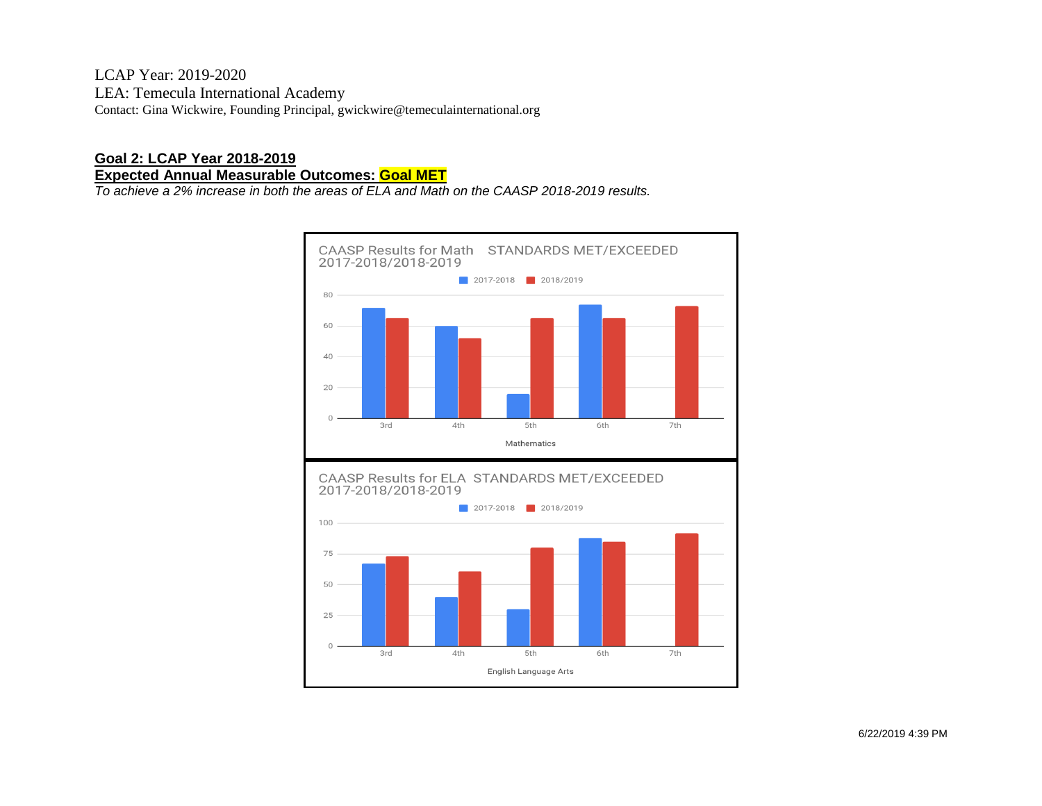#### **Goal 2: LCAP Year 2018-2019 Expected Annual Measurable Outcomes: Goal MET**

*To achieve a 2% increase in both the areas of ELA and Math on the CAASP 2018-2019 results.*

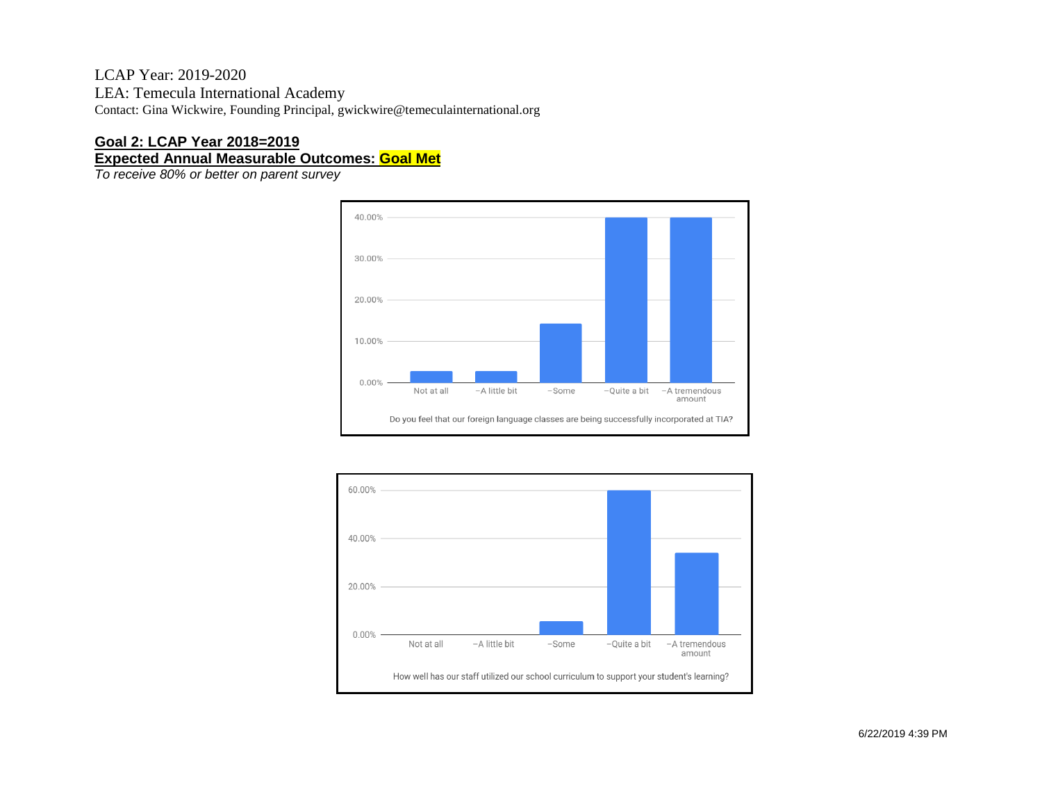#### **Goal 2: LCAP Year 2018=2019 Expected Annual Measurable Outcomes: Goal Met**

*To receive 80% or better on parent survey*



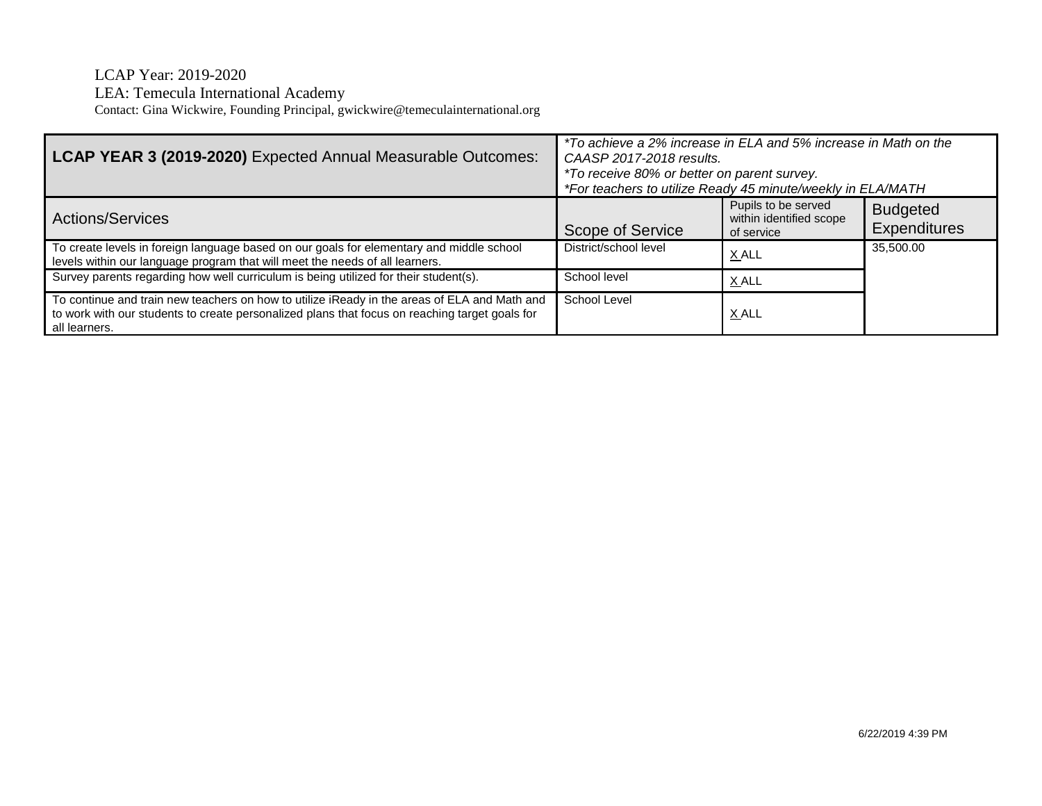| LCAP YEAR 3 (2019-2020) Expected Annual Measurable Outcomes:                                                                                                                                                    | *To achieve a 2% increase in ELA and 5% increase in Math on the<br>CAASP 2017-2018 results.<br>*To receive 80% or better on parent survey.<br>*For teachers to utilize Ready 45 minute/weekly in ELA/MATH |                                                              |                                 |
|-----------------------------------------------------------------------------------------------------------------------------------------------------------------------------------------------------------------|-----------------------------------------------------------------------------------------------------------------------------------------------------------------------------------------------------------|--------------------------------------------------------------|---------------------------------|
| Actions/Services                                                                                                                                                                                                | Scope of Service                                                                                                                                                                                          | Pupils to be served<br>within identified scope<br>of service | <b>Budgeted</b><br>Expenditures |
| To create levels in foreign language based on our goals for elementary and middle school<br>levels within our language program that will meet the needs of all learners.                                        | District/school level                                                                                                                                                                                     | X ALL                                                        | 35,500.00                       |
| Survey parents regarding how well curriculum is being utilized for their student(s).                                                                                                                            | School level                                                                                                                                                                                              | X ALL                                                        |                                 |
| To continue and train new teachers on how to utilize iReady in the areas of ELA and Math and<br>to work with our students to create personalized plans that focus on reaching target goals for<br>all learners. | School Level                                                                                                                                                                                              | X ALL                                                        |                                 |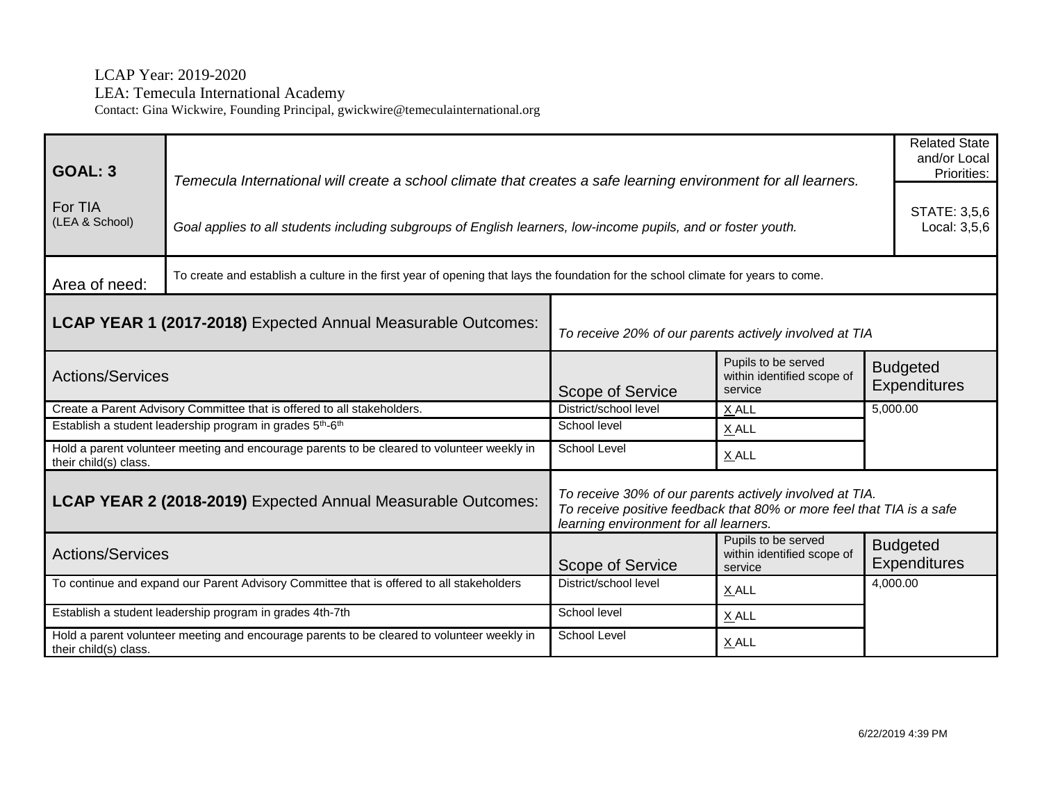| <b>GOAL: 3</b>                                                                                                      | Temecula International will create a school climate that creates a safe learning environment for all learners.                    |                                                                                                                                                                            |                                                              | <b>Related State</b><br>and/or Local<br>Priorities: |
|---------------------------------------------------------------------------------------------------------------------|-----------------------------------------------------------------------------------------------------------------------------------|----------------------------------------------------------------------------------------------------------------------------------------------------------------------------|--------------------------------------------------------------|-----------------------------------------------------|
| For TIA<br>(LEA & School)                                                                                           | Goal applies to all students including subgroups of English learners, low-income pupils, and or foster youth.                     |                                                                                                                                                                            |                                                              | STATE: 3,5,6<br>Local: 3,5,6                        |
| Area of need:                                                                                                       | To create and establish a culture in the first year of opening that lays the foundation for the school climate for years to come. |                                                                                                                                                                            |                                                              |                                                     |
| LCAP YEAR 1 (2017-2018) Expected Annual Measurable Outcomes:                                                        |                                                                                                                                   | To receive 20% of our parents actively involved at TIA                                                                                                                     |                                                              |                                                     |
| <b>Actions/Services</b>                                                                                             |                                                                                                                                   | Scope of Service                                                                                                                                                           | Pupils to be served<br>within identified scope of<br>service | <b>Budgeted</b><br><b>Expenditures</b>              |
| Create a Parent Advisory Committee that is offered to all stakeholders.                                             |                                                                                                                                   | District/school level                                                                                                                                                      | X ALL                                                        | 5,000.00                                            |
| Establish a student leadership program in grades 5 <sup>th</sup> -6 <sup>th</sup>                                   |                                                                                                                                   | School level                                                                                                                                                               | X ALL                                                        |                                                     |
| Hold a parent volunteer meeting and encourage parents to be cleared to volunteer weekly in<br>their child(s) class. |                                                                                                                                   | School Level                                                                                                                                                               | X ALL                                                        |                                                     |
| LCAP YEAR 2 (2018-2019) Expected Annual Measurable Outcomes:                                                        |                                                                                                                                   | To receive 30% of our parents actively involved at TIA.<br>To receive positive feedback that 80% or more feel that TIA is a safe<br>learning environment for all learners. |                                                              |                                                     |
| <b>Actions/Services</b>                                                                                             |                                                                                                                                   | Scope of Service                                                                                                                                                           | Pupils to be served<br>within identified scope of<br>service | <b>Budgeted</b><br><b>Expenditures</b>              |
|                                                                                                                     | To continue and expand our Parent Advisory Committee that is offered to all stakeholders                                          | District/school level                                                                                                                                                      | X ALL                                                        | 4,000.00                                            |
|                                                                                                                     | Establish a student leadership program in grades 4th-7th                                                                          | School level                                                                                                                                                               | X ALL                                                        |                                                     |
| their child(s) class.                                                                                               | Hold a parent volunteer meeting and encourage parents to be cleared to volunteer weekly in                                        | School Level                                                                                                                                                               | X ALL                                                        |                                                     |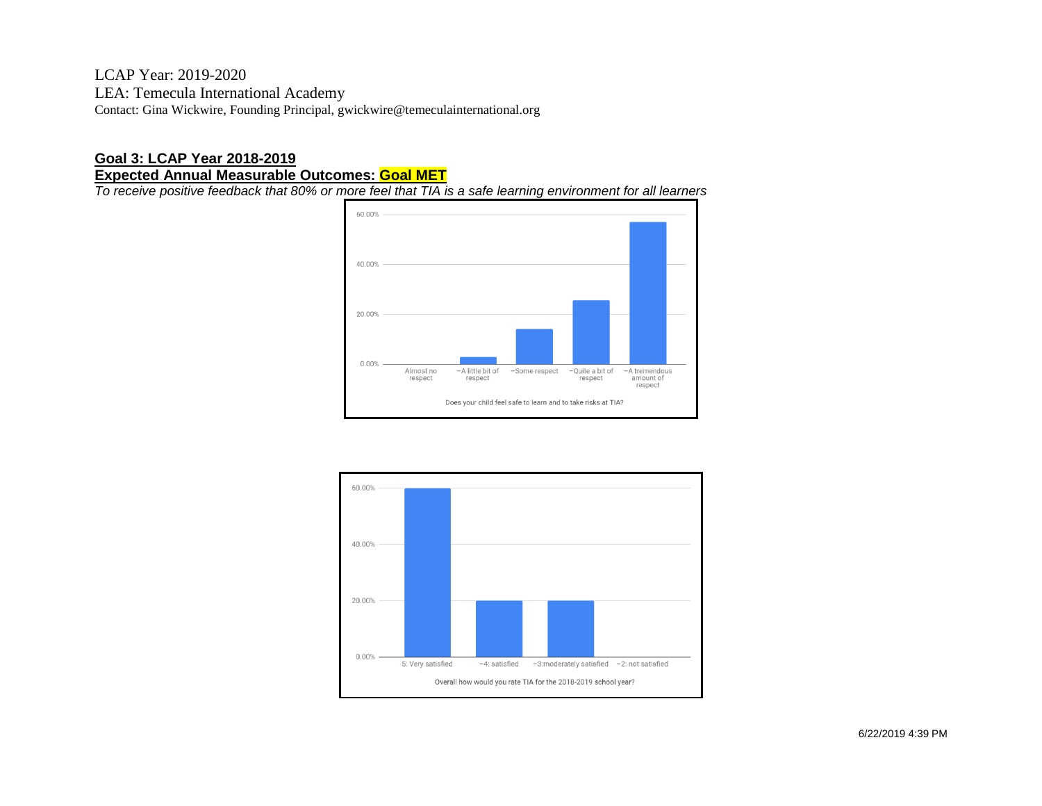#### **Goal 3: LCAP Year 2018-2019 Expected Annual Measurable Outcomes: Goal MET**

*To receive positive feedback that 80% or more feel that TIA is a safe learning environment for all learners*



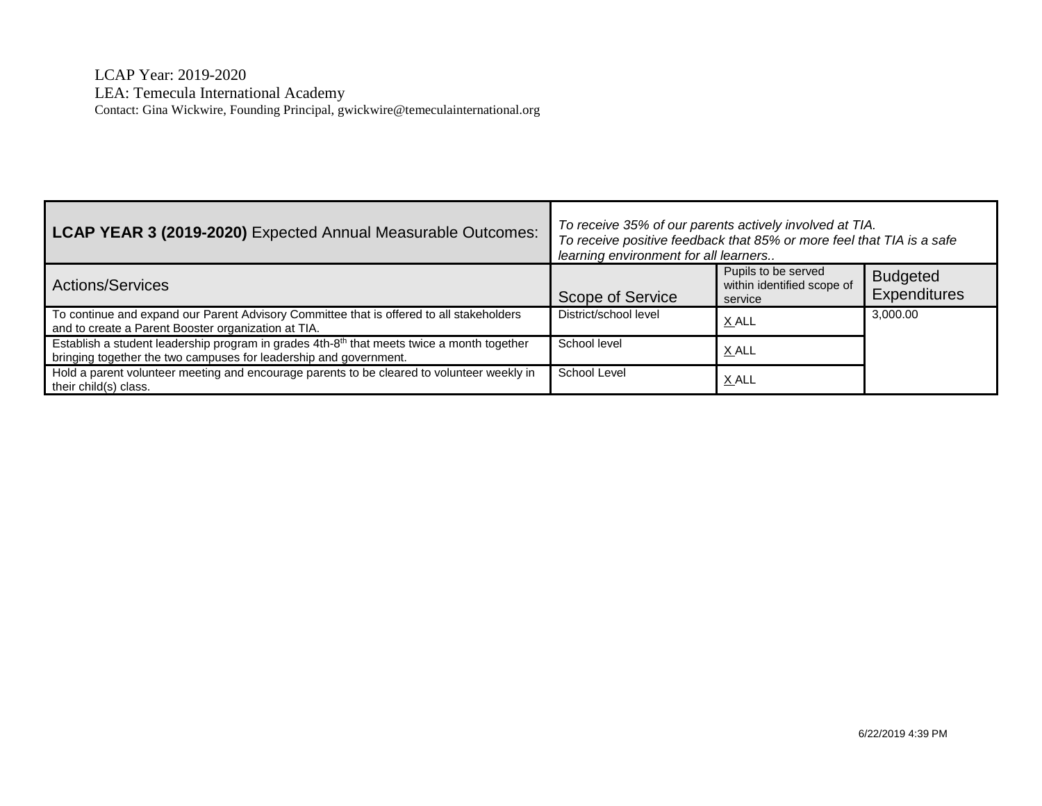| LCAP YEAR 3 (2019-2020) Expected Annual Measurable Outcomes:                                                                                                                | To receive 35% of our parents actively involved at TIA.<br>To receive positive feedback that 85% or more feel that TIA is a safe<br>learning environment for all learners |                                                              |                                        |
|-----------------------------------------------------------------------------------------------------------------------------------------------------------------------------|---------------------------------------------------------------------------------------------------------------------------------------------------------------------------|--------------------------------------------------------------|----------------------------------------|
| <b>Actions/Services</b>                                                                                                                                                     | <b>Scope of Service</b>                                                                                                                                                   | Pupils to be served<br>within identified scope of<br>service | <b>Budgeted</b><br><b>Expenditures</b> |
| To continue and expand our Parent Advisory Committee that is offered to all stakeholders<br>and to create a Parent Booster organization at TIA.                             | District/school level                                                                                                                                                     | X ALL                                                        | 3,000.00                               |
| Establish a student leadership program in grades 4th-8 <sup>th</sup> that meets twice a month together<br>bringing together the two campuses for leadership and government. | School level                                                                                                                                                              | X ALL                                                        |                                        |
| Hold a parent volunteer meeting and encourage parents to be cleared to volunteer weekly in<br>their child(s) class.                                                         | School Level                                                                                                                                                              | <u>X ALL</u>                                                 |                                        |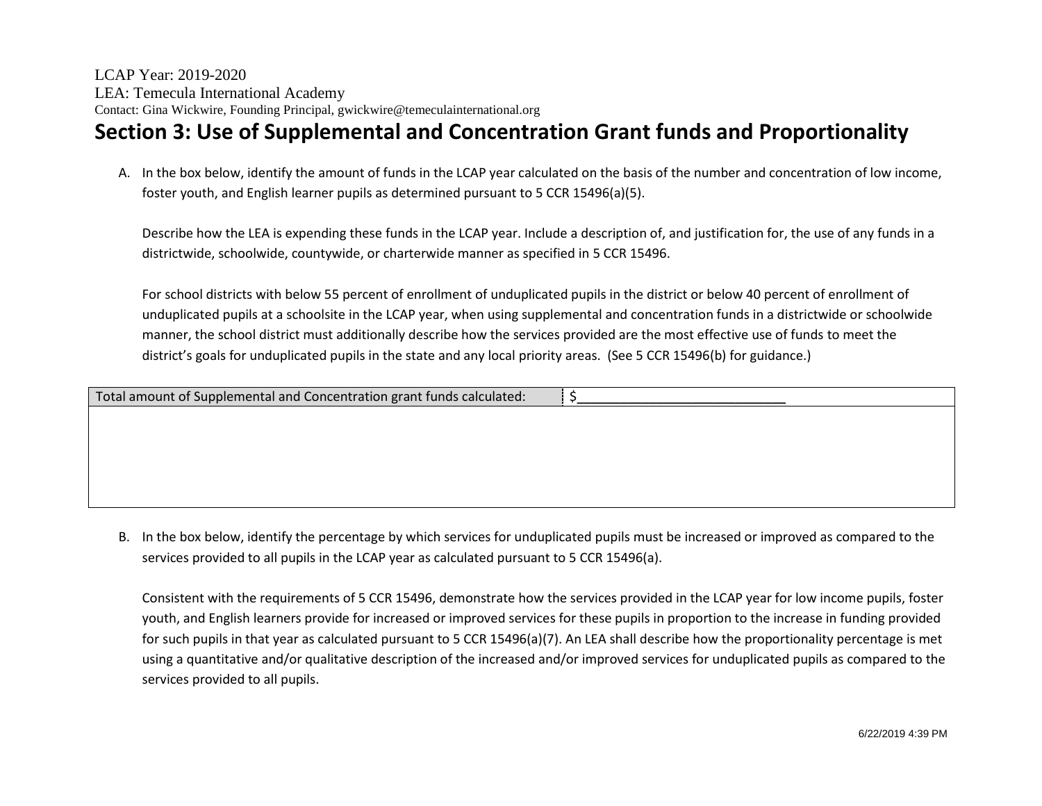# **Section 3: Use of Supplemental and Concentration Grant funds and Proportionality**

A. In the box below, identify the amount of funds in the LCAP year calculated on the basis of the number and concentration of low income, foster youth, and English learner pupils as determined pursuant to 5 CCR 15496(a)(5).

Describe how the LEA is expending these funds in the LCAP year. Include a description of, and justification for, the use of any funds in a districtwide, schoolwide, countywide, or charterwide manner as specified in 5 CCR 15496.

For school districts with below 55 percent of enrollment of unduplicated pupils in the district or below 40 percent of enrollment of unduplicated pupils at a schoolsite in the LCAP year, when using supplemental and concentration funds in a districtwide or schoolwide manner, the school district must additionally describe how the services provided are the most effective use of funds to meet the district's goals for unduplicated pupils in the state and any local priority areas. (See 5 CCR 15496(b) for guidance.)

| Total amount of Supplemental and Concentration grant funds calculated: |  |
|------------------------------------------------------------------------|--|
|                                                                        |  |
|                                                                        |  |
|                                                                        |  |

B. In the box below, identify the percentage by which services for unduplicated pupils must be increased or improved as compared to the services provided to all pupils in the LCAP year as calculated pursuant to 5 CCR 15496(a).

Consistent with the requirements of 5 CCR 15496, demonstrate how the services provided in the LCAP year for low income pupils, foster youth, and English learners provide for increased or improved services for these pupils in proportion to the increase in funding provided for such pupils in that year as calculated pursuant to 5 CCR 15496(a)(7). An LEA shall describe how the proportionality percentage is met using a quantitative and/or qualitative description of the increased and/or improved services for unduplicated pupils as compared to the services provided to all pupils.